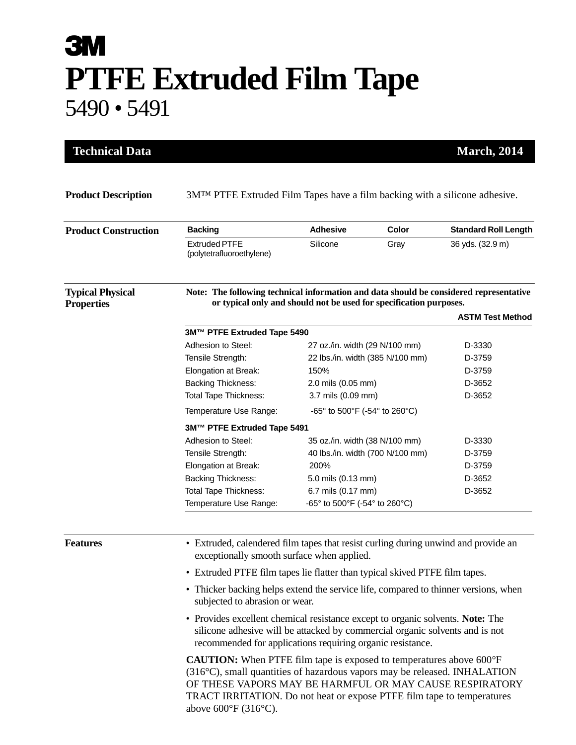## **3M PTFE Extruded Film Tape** 5490 • 5491

| <b>Product Description</b>                   | 3M <sup>TM</sup> PTFE Extruded Film Tapes have a film backing with a silicone adhesive.                                                                                                                                                                                                                                        |                                  |                                  |                             |  |
|----------------------------------------------|--------------------------------------------------------------------------------------------------------------------------------------------------------------------------------------------------------------------------------------------------------------------------------------------------------------------------------|----------------------------------|----------------------------------|-----------------------------|--|
| <b>Product Construction</b>                  | <b>Backing</b>                                                                                                                                                                                                                                                                                                                 | <b>Adhesive</b>                  | Color                            | <b>Standard Roll Length</b> |  |
|                                              | <b>Extruded PTFE</b><br>(polytetrafluoroethylene)                                                                                                                                                                                                                                                                              | Silicone                         | Gray                             | 36 yds. (32.9 m)            |  |
| <b>Typical Physical</b><br><b>Properties</b> | Note: The following technical information and data should be considered representative<br>or typical only and should not be used for specification purposes.                                                                                                                                                                   |                                  |                                  |                             |  |
|                                              |                                                                                                                                                                                                                                                                                                                                |                                  |                                  | <b>ASTM Test Method</b>     |  |
|                                              | 3M™ PTFE Extruded Tape 5490                                                                                                                                                                                                                                                                                                    |                                  |                                  |                             |  |
|                                              | Adhesion to Steel:                                                                                                                                                                                                                                                                                                             | 27 oz./in. width (29 N/100 mm)   |                                  | D-3330                      |  |
|                                              | Tensile Strength:                                                                                                                                                                                                                                                                                                              | 22 lbs./in. width (385 N/100 mm) |                                  | D-3759                      |  |
|                                              | Elongation at Break:                                                                                                                                                                                                                                                                                                           | 150%                             |                                  | D-3759                      |  |
|                                              | <b>Backing Thickness:</b>                                                                                                                                                                                                                                                                                                      | 2.0 mils (0.05 mm)               |                                  | D-3652                      |  |
|                                              | <b>Total Tape Thickness:</b>                                                                                                                                                                                                                                                                                                   | 3.7 mils (0.09 mm)               |                                  | D-3652                      |  |
|                                              | Temperature Use Range:<br>-65° to 500°F (-54° to 260°C)                                                                                                                                                                                                                                                                        |                                  |                                  |                             |  |
|                                              | 3M™ PTFE Extruded Tape 5491                                                                                                                                                                                                                                                                                                    |                                  |                                  |                             |  |
|                                              | Adhesion to Steel:                                                                                                                                                                                                                                                                                                             | 35 oz./in. width (38 N/100 mm)   |                                  | D-3330                      |  |
|                                              | Tensile Strength:                                                                                                                                                                                                                                                                                                              |                                  | 40 lbs./in. width (700 N/100 mm) | D-3759                      |  |
|                                              | Elongation at Break:                                                                                                                                                                                                                                                                                                           | 200%                             |                                  | D-3759                      |  |
|                                              | <b>Backing Thickness:</b>                                                                                                                                                                                                                                                                                                      | 5.0 mils (0.13 mm)               |                                  | D-3652                      |  |
|                                              | <b>Total Tape Thickness:</b>                                                                                                                                                                                                                                                                                                   | 6.7 mils (0.17 mm)               |                                  | D-3652                      |  |
|                                              | Temperature Use Range:                                                                                                                                                                                                                                                                                                         | -65° to 500°F (-54° to 260°C)    |                                  |                             |  |
| <b>Features</b>                              | • Extruded, calendered film tapes that resist curling during unwind and provide an<br>exceptionally smooth surface when applied.                                                                                                                                                                                               |                                  |                                  |                             |  |
|                                              | • Extruded PTFE film tapes lie flatter than typical skived PTFE film tapes.                                                                                                                                                                                                                                                    |                                  |                                  |                             |  |
|                                              | • Thicker backing helps extend the service life, compared to thinner versions, when<br>subjected to abrasion or wear.                                                                                                                                                                                                          |                                  |                                  |                             |  |
|                                              | • Provides excellent chemical resistance except to organic solvents. Note: The<br>silicone adhesive will be attacked by commercial organic solvents and is not<br>recommended for applications requiring organic resistance.                                                                                                   |                                  |                                  |                             |  |
|                                              | <b>CAUTION:</b> When PTFE film tape is exposed to temperatures above 600°F<br>(316°C), small quantities of hazardous vapors may be released. INHALATION<br>OF THESE VAPORS MAY BE HARMFUL OR MAY CAUSE RESPIRATORY<br>TRACT IRRITATION. Do not heat or expose PTFE film tape to temperatures<br>above $600^{\circ}$ F (316°C). |                                  |                                  |                             |  |